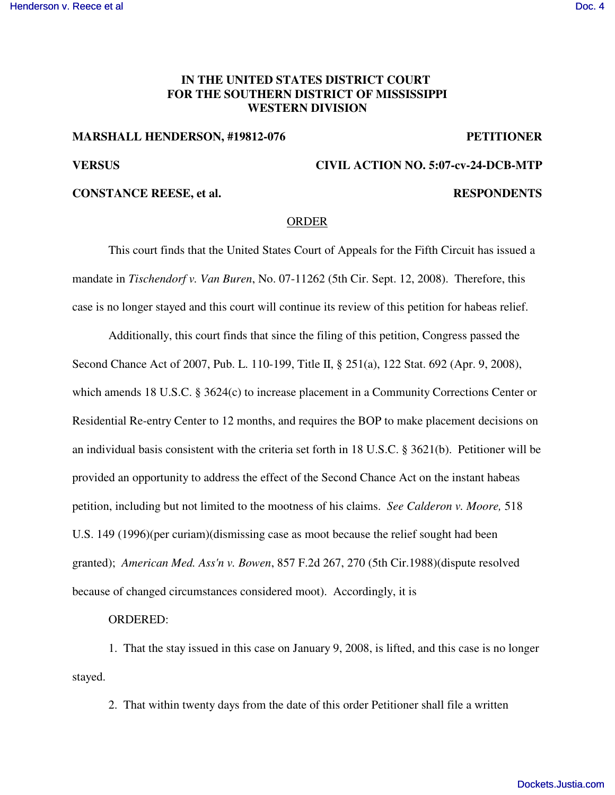# **IN THE UNITED STATES DISTRICT COURT FOR THE SOUTHERN DISTRICT OF MISSISSIPPI WESTERN DIVISION**

### **MARSHALL HENDERSON, #19812-076 PETITIONER**

# **VERSUS CIVIL ACTION NO. 5:07-cv-24-DCB-MTP**

## **CONSTANCE REESE, et al. RESPONDENTS**

### ORDER

This court finds that the United States Court of Appeals for the Fifth Circuit has issued a mandate in *Tischendorf v. Van Buren*, No. 07-11262 (5th Cir. Sept. 12, 2008). Therefore, this case is no longer stayed and this court will continue its review of this petition for habeas relief.

Additionally, this court finds that since the filing of this petition, Congress passed the Second Chance Act of 2007, Pub. L. 110-199, Title II, § 251(a), 122 Stat. 692 (Apr. 9, 2008), which amends 18 U.S.C. § 3624(c) to increase placement in a Community Corrections Center or Residential Re-entry Center to 12 months, and requires the BOP to make placement decisions on an individual basis consistent with the criteria set forth in 18 U.S.C. § 3621(b). Petitioner will be provided an opportunity to address the effect of the Second Chance Act on the instant habeas petition, including but not limited to the mootness of his claims. *See Calderon v. Moore,* 518 U.S. 149 (1996)(per curiam)(dismissing case as moot because the relief sought had been granted); *American Med. Ass'n v. Bowen*, 857 F.2d 267, 270 (5th Cir.1988)(dispute resolved because of changed circumstances considered moot). Accordingly, it is

## ORDERED:

1. That the stay issued in this case on January 9, 2008, is lifted, and this case is no longer stayed.

2. That within twenty days from the date of this order Petitioner shall file a written